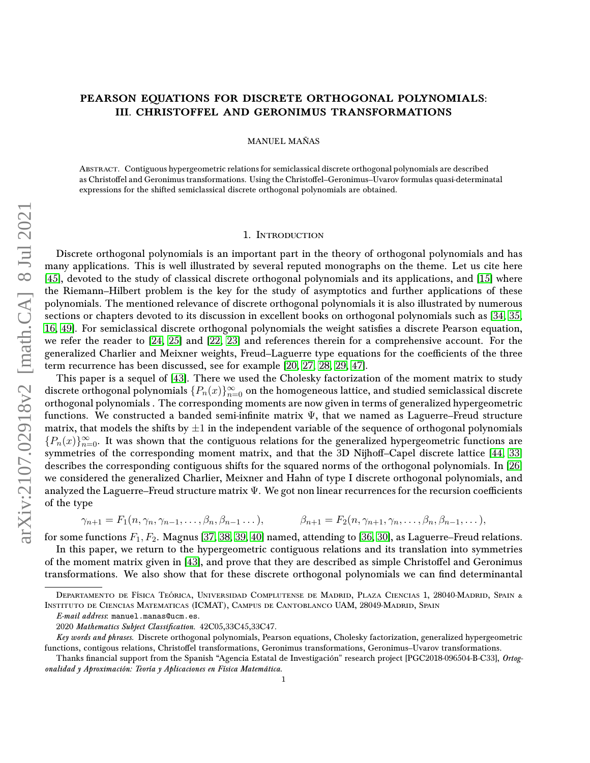# PEARSON EQUATIONS FOR DISCRETE ORTHOGONAL POLYNOMIALS: III. CHRISTOFFEL AND GERONIMUS TRANSFORMATIONS

MANUEL MAÑAS

Abstract. Contiguous hypergeometric relations for semiclassical discrete orthogonal polynomials are described as Christoffel and Geronimus transformations. Using the Christoffel–Geronimus–Uvarov formulas quasi-determinatal expressions for the shifted semiclassical discrete orthogonal polynomials are obtained.

## 1. Introduction

Discrete orthogonal polynomials is an important part in the theory of orthogonal polynomials and has many applications. This is well illustrated by several reputed monographs on the theme. Let us cite here [\[45\]](#page-17-0), devoted to the study of classical discrete orthogonal polynomials and its applications, and [\[15\]](#page-16-0) where the Riemann–Hilbert problem is the key for the study of asymptotics and further applications of these polynomials. The mentioned relevance of discrete orthogonal polynomials it is also illustrated by numerous sections or chapters devoted to its discussion in excellent books on orthogonal polynomials such as [\[34,](#page-17-1) [35,](#page-17-2) [16,](#page-16-1) [49\]](#page-17-3). For semiclassical discrete orthogonal polynomials the weight satisfies a discrete Pearson equation, we refer the reader to [\[24,](#page-16-2) [25\]](#page-17-4) and [\[22,](#page-16-3) [23\]](#page-16-4) and references therein for a comprehensive account. For the generalized Charlier and Meixner weights, Freud–Laguerre type equations for the coefficients of the three term recurrence has been discussed, see for example [\[20,](#page-16-5) [27,](#page-17-5) [28,](#page-17-6) [29,](#page-17-7) [47\]](#page-17-8).

This paper is a sequel of [\[43\]](#page-17-9). There we used the Cholesky factorization of the moment matrix to study discrete orthogonal polynomials  $\{P_n(x)\}_{n=0}^{\infty}$  on the homogeneous lattice, and studied semiclassical discrete orthogonal polynomials . The corresponding moments are now given in terms of generalized hypergeometric functions. We constructed a banded semi-infinite matrix  $\Psi,$  that we named as Laguerre–Freud structure matrix, that models the shifts by  $\pm 1$  in the independent variable of the sequence of orthogonal polynomials  ${P_n(x)}_{n=0}^\infty$ . It was shown that the contiguous relations for the generalized hypergeometric functions are symmetries of the corresponding moment matrix, and that the 3D Nijhoff-Capel discrete lattice [\[44,](#page-17-10) [33\]](#page-17-11) describes the corresponding contiguous shifts for the squared norms of the orthogonal polynomials. In [\[26\]](#page-17-12) we considered the generalized Charlier, Meixner and Hahn of type I discrete orthogonal polynomials, and analyzed the Laguerre–Freud structure matrix  $\Psi$ . We got non linear recurrences for the recursion coefficients of the type

$$
\gamma_{n+1} = F_1(n, \gamma_n, \gamma_{n-1}, \ldots, \beta_n, \beta_{n-1} \ldots), \qquad \beta_{n+1} = F_2(n, \gamma_{n+1}, \gamma_n, \ldots, \beta_n, \beta_{n-1}, \ldots),
$$

for some functions  $F_1, F_2$ . Magnus [\[37,](#page-17-13) [38,](#page-17-14) [39,](#page-17-15) [40\]](#page-17-16) named, attending to [\[36,](#page-17-17) [30\]](#page-17-18), as Laguerre–Freud relations.

In this paper, we return to the hypergeometric contiguous relations and its translation into symmetries of the moment matrix given in [\[43\]](#page-17-9), and prove that they are described as simple Christoffel and Geronimus transformations. We also show that for these discrete orthogonal polynomials we can find determinantal

Departamento de Física Teórica, Universidad Complutense de Madrid, Plaza Ciencias 1, 28040-Madrid, Spain & Instituto de Ciencias Matematicas (ICMAT), Campus de Cantoblanco UAM, 28049-Madrid, Spain

E-mail address: manuel.manas@ucm.es.

<sup>2020</sup> Mathematics Subject Classification. 42C05,33C45,33C47.

Key words and phrases. Discrete orthogonal polynomials, Pearson equations, Cholesky factorization, generalized hypergeometric functions, contigous relations, Christoffel transformations, Geronimus transformations, Geronimus–Uvarov transformations.

Thanks financial support from the Spanish "Agencia Estatal de Investigación" research project [PGC2018-096504-B-C33], Ortogonalidad y Aproximación: Teoría y Aplicaciones en Física Matemática.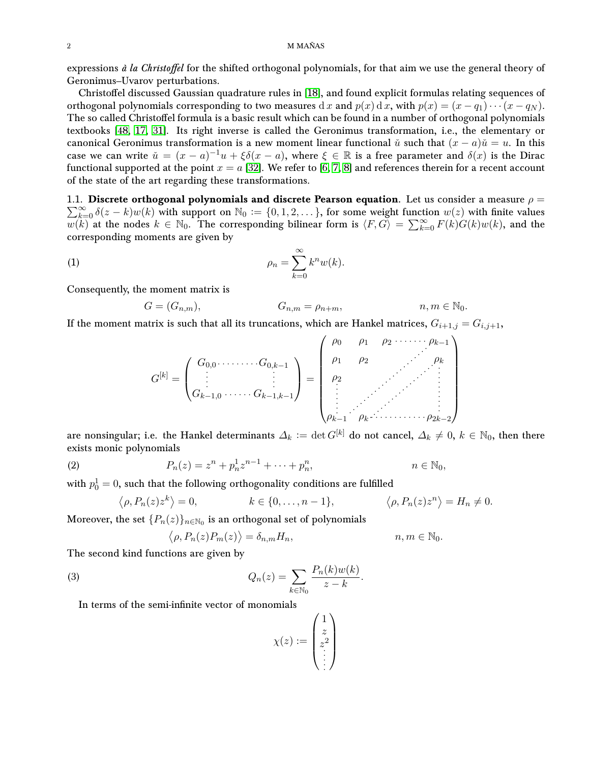expressions  $\hat{a}$  la Christoffel for the shifted orthogonal polynomials, for that aim we use the general theory of Geronimus–Uvarov perturbations.

Christoffel discussed Gaussian quadrature rules in [\[18\]](#page-16-6), and found explicit formulas relating sequences of orthogonal polynomials corresponding to two measures d x and  $p(x)$  d x, with  $p(x) = (x - q_1) \cdots (x - q_N)$ . The so called Christoffel formula is a basic result which can be found in a number of orthogonal polynomials textbooks [\[48,](#page-17-19) [17,](#page-16-7) [31\]](#page-17-20). Its right inverse is called the Geronimus transformation, i.e., the elementary or canonical Geronimus transformation is a new moment linear functional  $\check{u}$  such that  $(x - a)\check{u} = u$ . In this case we can write  $\check{u} = (x - a)^{-1}u + \xi \delta(x - a)$ , where  $\xi \in \mathbb{R}$  is a free parameter and  $\delta(x)$  is the Dirac functional supported at the point  $x = a$  [\[32\]](#page-17-21). We refer to [\[6,](#page-16-8) [7,](#page-16-9) [8\]](#page-16-10) and references therein for a recent account of the state of the art regarding these transformations.

1.1. Discrete orthogonal polynomials and discrete Pearson equation. Let us consider a measure  $\rho =$  $\sum_{k=0}^{\infty} \delta(z-k)w(k)$  with support on  $\mathbb{N}_0 := \{0,1,2,\ldots\}$ , for some weight function  $w(z)$  with finite values  $w(k)$  at the nodes  $k \in \mathbb{N}_0$ . The corresponding bilinear form is  $\langle F, G \rangle = \sum_{k=0}^{\infty} F(k)G(k)w(k)$ , and the corresponding moments are given by

<span id="page-1-0"></span>
$$
\rho_n = \sum_{k=0}^{\infty} k^n w(k).
$$

Consequently, the moment matrix is

$$
G = (G_{n,m}), \qquad G_{n,m} = \rho_{n+m}, \qquad n, m \in \mathbb{N}_0.
$$

If the moment matrix is such that all its truncations, which are Hankel matrices,  $G_{i+1,j} = G_{i,j+1}$ ,

$$
G^{[k]} = \begin{pmatrix} G_{0,0} \cdot \cdot \cdot \cdot \cdot \cdot \cdot G_{0,k-1} \\ \vdots \\ G_{k-1,0} \cdot \cdot \cdot \cdot \cdot \cdot G_{k-1,k-1} \end{pmatrix} = \begin{pmatrix} \rho_0 & \rho_1 & \rho_2 & \cdot \cdot \cdot \cdot \cdot \cdot \cdot \cdot \rho_{k-1} \\ \rho_1 & \rho_2 & \cdot \cdot & \cdot \\ \rho_2 & \cdot & \cdot & \cdot \\ \vdots & \cdot & \cdot & \cdot \\ \rho_{k-1} & \rho_k \cdot \cdot \cdot \cdot \cdot \cdot \cdot \cdot \cdot \cdot \cdot \rho_{2k-2} \end{pmatrix}
$$

are nonsingular; i.e. the Hankel determinants  $\Delta_k := \det G^{[k]}$  do not cancel,  $\Delta_k \neq 0, k \in \mathbb{N}_0$ , then there exists monic polynomials

(2) 
$$
P_n(z) = z^n + p_n^1 z^{n-1} + \dots + p_n^n, \qquad n \in \mathbb{N}_0,
$$

with  $p_0^1=0,$  such that the following orthogonality conditions are fulfilled

$$
\langle \rho, P_n(z) z^k \rangle = 0, \qquad k \in \{0, \ldots, n-1\}, \qquad \langle \rho, P_n(z) z^n \rangle = H_n \neq 0.
$$

Moreover, the set  $\{P_n(z)\}_{n\in\mathbb{N}_0}$  is an orthogonal set of polynomials

$$
\langle \rho, P_n(z) P_m(z) \rangle = \delta_{n,m} H_n, \qquad n, m \in \mathbb{N}_0.
$$

The second kind functions are given by

<span id="page-1-1"></span>(3) 
$$
Q_n(z) = \sum_{k \in \mathbb{N}_0} \frac{P_n(k)w(k)}{z - k}.
$$

In terms of the semi-infinite vector of monomials

$$
\chi(z) := \begin{pmatrix} 1 \\ z \\ z^2 \\ \vdots \end{pmatrix}
$$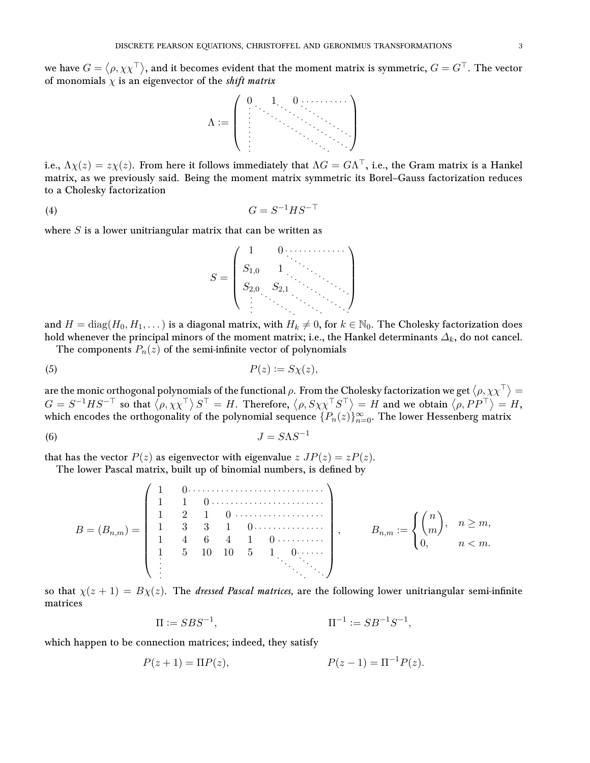we have  $G=\langle\rho,\chi\chi^\top\rangle,$  and it becomes evident that the moment matrix is symmetric,  $G=G^\top.$  The vector of monomials  $\chi$  is an eigenvector of the *shift matrix* 



i.e.,  $\Lambda\chi(z)=z\chi(z).$  From here it follows immediately that  $\Lambda G=G\Lambda^\top,$  i.e., the Gram matrix is a Hankel matrix, as we previously said. Being the moment matrix symmetric its Borel–Gauss factorization reduces to a Cholesky factorization

<span id="page-2-1"></span>
$$
(4) \tG = S^{-1}HS^{-\top}
$$

where  $S$  is a lower unitriangular matrix that can be written as



and  $H = diag(H_0, H_1, \dots)$  is a diagonal matrix, with  $H_k \neq 0$ , for  $k \in \mathbb{N}_0$ . The Cholesky factorization does hold whenever the principal minors of the moment matrix; i.e., the Hankel determinants  $\Delta_k$ , do not cancel.

The components  $P_n(z)$  of the semi-infinite vector of polynomials

$$
(5) \t\t P(z) := S\chi(z),
$$

are the monic orthogonal polynomials of the functional  $\rho$ . From the Cholesky factorization we get  $\langle\rho,\chi\chi^\mp\rangle=0$  $G = S^{-1}HS^{-\top}$  so that  $\langle \rho, \chi \chi^{\top} \rangle S^{\top} = H$ . Therefore,  $\langle \rho, S \chi \chi^{\top} S^{\top} \rangle = H$  and we obtain  $\langle \rho, P P^{\top} \rangle = H$ , which encodes the orthogonality of the polynomial sequence  $\{P_n(z)\}_{n=0}^{\infty}$ . The lower Hessenberg matrix

<span id="page-2-0"></span>
$$
(6) \t\t J = S\Lambda S^{-1}
$$

that has the vector  $P(z)$  as eigenvector with eigenvalue  $z$   $JP(z) = zP(z)$ .

The lower Pascal matrix, built up of binomial numbers, is defined by

B = (Bn,m) = 1 0 1 1 0 1 2 1 0 1 3 3 1 0 1 4 6 4 1 0 1 5 10 10 5 1 0 , Bn,m := n m , n ≥ m, 0, n < m.

so that  $\chi(z+1) = B\chi(z)$ . The *dressed Pascal matrices*, are the following lower unitriangular semi-infinite matrices

$$
\Pi := SBS^{-1}, \qquad \qquad \Pi^{-1} := SB^{-1}S^{-1},
$$

which happen to be connection matrices; indeed, they satisfy

$$
P(z+1) = \Pi P(z), \qquad P(z-1) = \Pi^{-1} P(z).
$$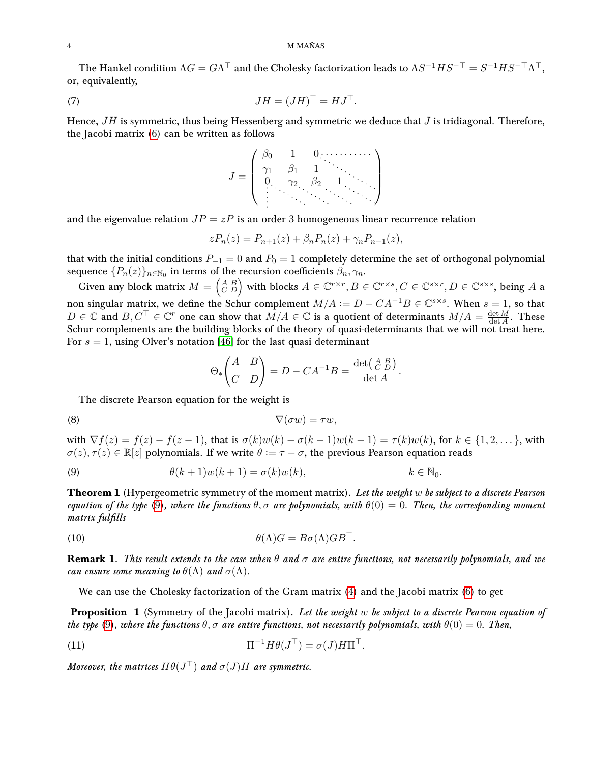### 4 M MAÑAS

The Hankel condition  $\Lambda G=G\Lambda^\top$  and the Cholesky factorization leads to  $\Lambda S^{-1}HS^{-\top}=S^{-1}HS^{-\top}\Lambda^\top,$ or, equivalently,

(7) 
$$
JH = (JH)^{\top} = HJ^{\top}.
$$

Hence,  $JH$  is symmetric, thus being Hessenberg and symmetric we deduce that  $J$  is tridiagonal. Therefore, the Jacobi matrix [\(6\)](#page-2-0) can be written as follows

J = β<sup>0</sup> 1 0 γ<sup>1</sup> β<sup>1</sup> 1 0 γ<sup>2</sup> β<sup>2</sup> 1 

and the eigenvalue relation  $JP = zP$  is an order 3 homogeneous linear recurrence relation

$$
zP_n(z) = P_{n+1}(z) + \beta_n P_n(z) + \gamma_n P_{n-1}(z),
$$

that with the initial conditions  $P_{-1} = 0$  and  $P_0 = 1$  completely determine the set of orthogonal polynomial sequence  $\{P_n(z)\}_{n\in\mathbb{N}_0}$  in terms of the recursion coefficients  $\beta_n,\gamma_n.$ 

Given any block matrix  $M = \begin{pmatrix} A & B \ C & D \end{pmatrix}$  with blocks  $A \in \mathbb{C}^{r \times r}, B \in \mathbb{C}^{r \times s}, C \in \mathbb{C}^{s \times r}, D \in \mathbb{C}^{s \times s},$  being  $A$  a non singular matrix, we define the Schur complement  $M/A := D - CA^{-1}B \in \mathbb{C}^{s \times s}$ . When  $s = 1$ , so that  $D \in \mathbb{C}$  and  $B, C^{\top} \in \mathbb{C}^r$  one can show that  $M/A \in \mathbb{C}$  is a quotient of determinants  $M/A = \frac{\det M}{\det A}$  $\frac{\det M}{\det A}$ . These Schur complements are the building blocks of the theory of quasi-determinants that we will not treat here. For  $s = 1$ , using Olver's notation [\[46\]](#page-17-22) for the last quasi determinant

$$
\Theta_*\left(\begin{array}{c|c} A & B \\ \hline C & D \end{array}\right) = D - CA^{-1}B = \frac{\det\left(\begin{smallmatrix} A & B \\ C & D \end{smallmatrix}\right)}{\det A}.
$$

The discrete Pearson equation for the weight is

$$
\nabla(\sigma w) = \tau w,
$$

with  $\nabla f(z) = f(z) - f(z-1)$ , that is  $\sigma(k)w(k) - \sigma(k-1)w(k-1) = \tau(k)w(k)$ , for  $k \in \{1, 2, \dots\}$ , with  $\sigma(z), \tau(z) \in \mathbb{R}[z]$  polynomials. If we write  $\theta := \tau - \sigma$ , the previous Pearson equation reads

<span id="page-3-0"></span>(9) 
$$
\theta(k+1)w(k+1) = \sigma(k)w(k), \qquad k \in \mathbb{N}_0.
$$

**Theorem 1** (Hypergeometric symmetry of the moment matrix). Let the weight w be subject to a discrete Pearson equation of the type [\(9\)](#page-3-0), where the functions  $\theta, \sigma$  are polynomials, with  $\theta(0) = 0$ . Then, the corresponding moment matrix fulfills

<span id="page-3-1"></span>(10) 
$$
\theta(\Lambda)G = B\sigma(\Lambda)GB^{\top}.
$$

**Remark 1.** This result extends to the case when  $\theta$  and  $\sigma$  are entire functions, not necessarily polynomials, and we can ensure some meaning to  $\theta(\Lambda)$  and  $\sigma(\Lambda)$ .

We can use the Cholesky factorization of the Gram matrix [\(4\)](#page-2-1) and the Jacobi matrix [\(6\)](#page-2-0) to get

**Proposition 1** (Symmetry of the Jacobi matrix). Let the weight w be subject to a discrete Pearson equation of the type [\(9\)](#page-3-0), where the functions  $\theta, \sigma$  are entire functions, not necessarily polynomials, with  $\theta(0) = 0$ . Then,

(11) 
$$
\Pi^{-1} H \theta (J^{\top}) = \sigma (J) H \Pi^{\top}.
$$

Moreover, the matrices  $H\theta(J^\top)$  and  $\sigma(J)H$  are symmetric.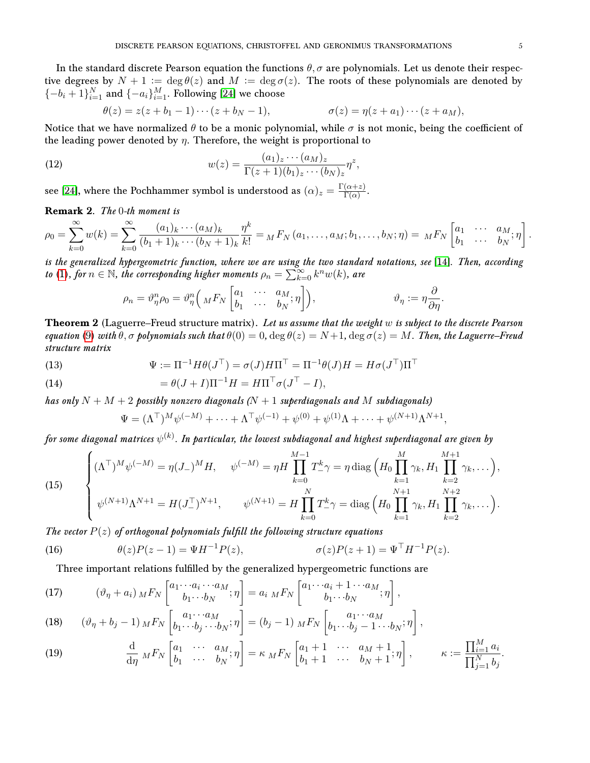In the standard discrete Pearson equation the functions  $\theta$ ,  $\sigma$  are polynomials. Let us denote their respective degrees by  $N + 1 := \deg \theta(z)$  and  $M := \deg \sigma(z)$ . The roots of these polynomials are denoted by  $\{-b_i+1\}_{i=1}^N$  and  $\{-a_i\}_{i=1}^M$ . Following [\[24\]](#page-16-2) we choose

$$
\theta(z) = z(z + b_1 - 1) \cdots (z + b_N - 1), \qquad \sigma(z) = \eta(z + a_1) \cdots (z + a_M),
$$

Notice that we have normalized  $\theta$  to be a monic polynomial, while  $\sigma$  is not monic, being the coefficient of the leading power denoted by  $\eta$ . Therefore, the weight is proportional to

<span id="page-4-2"></span>(12) 
$$
w(z) = \frac{(a_1)_z \cdots (a_M)_z}{\Gamma(z+1)(b_1)_z \cdots (b_N)_z} \eta^z,
$$

see [\[24\]](#page-16-2), where the Pochhammer symbol is understood as  $(\alpha)_z = \frac{\Gamma(\alpha+z)}{\Gamma(\alpha)}$  $\frac{(\alpha+z)}{\Gamma(\alpha)}$ .

Remark 2. The 0-th moment is

$$
\rho_0 = \sum_{k=0}^{\infty} w(k) = \sum_{k=0}^{\infty} \frac{(a_1)_k \cdots (a_M)_k}{(b_1 + 1)_k \cdots (b_N + 1)_k} \frac{\eta^k}{k!} = {}_M F_N(a_1, \ldots, a_M; b_1, \ldots, b_N; \eta) = {}_M F_N \begin{bmatrix} a_1 & \cdots & a_M \\ b_1 & \cdots & b_N \end{bmatrix}
$$

is the generalized hypergeometric function, where we are using the two standard notations, see [\[14\]](#page-16-11). Then, according to [\(1\)](#page-1-0), for  $n \in \mathbb{N}$ , the corresponding higher moments  $\rho_n = \sum_{k=0}^{\infty} k^n w(k)$ , are

$$
\rho_n = \vartheta_{\eta}^n \rho_0 = \vartheta_{\eta}^n \left( {}_{M} F_{N} \begin{bmatrix} a_1 & \cdots & a_M \\ b_1 & \cdots & b_N \end{bmatrix} \right), \qquad \vartheta_{\eta} := \eta \frac{\partial}{\partial \eta}.
$$

**Theorem 2** (Laguerre–Freud structure matrix). Let us assume that the weight  $w$  is subject to the discrete Pearson equation [\(9\)](#page-3-0) with  $\theta$ ,  $\sigma$  polynomials such that  $\theta(0) = 0$ ,  $\deg \theta(z) = N+1$ ,  $\deg \sigma(z) = M$ . Then, the Laguerre–Freud structure matrix

(13) 
$$
\Psi := \Pi^{-1} H \theta(J^{\top}) = \sigma(J) H \Pi^{\top} = \Pi^{-1} \theta(J) H = H \sigma(J^{\top}) \Pi^{\top}
$$

(14) 
$$
= \theta(J+I)\Pi^{-1}H = H\Pi^{\top}\sigma(J^{\top} - I),
$$

has only  $N + M + 2$  possibly nonzero diagonals ( $N + 1$  superdiagonals and M subdiagonals)

$$
\Psi = (\Lambda^{\top})^M \psi^{(-M)} + \dots + \Lambda^{\top} \psi^{(-1)} + \psi^{(0)} + \psi^{(1)} \Lambda + \dots + \psi^{(N+1)} \Lambda^{N+1},
$$

for some diagonal matrices  $\psi^{(k)}.$  In particular, the lowest subdiagonal and highest superdiagonal are given by

(15) 
$$
\begin{cases} (\Lambda^{\top})^{M} \psi^{(-M)} = \eta (J_{-})^{M} H, & \psi^{(-M)} = \eta H \prod_{k=0}^{M-1} T_{-}^{k} \gamma = \eta \operatorname{diag} \left( H_{0} \prod_{k=1}^{M} \gamma_{k}, H_{1} \prod_{k=2}^{M+1} \gamma_{k}, \dots \right), \\ \psi^{(N+1)} \Lambda^{N+1} = H (J_{-}^{\top})^{N+1}, & \psi^{(N+1)} = H \prod_{k=0}^{N} T_{-}^{k} \gamma = \operatorname{diag} \left( H_{0} \prod_{k=1}^{N+1} \gamma_{k}, H_{1} \prod_{k=2}^{N+2} \gamma_{k}, \dots \right). \end{cases}
$$

The vector  $P(z)$  of orthogonal polynomials fulfill the following structure equations

<span id="page-4-3"></span>(16) 
$$
\theta(z)P(z-1) = \Psi H^{-1}P(z), \qquad \sigma(z)P(z+1) = \Psi^{\top}H^{-1}P(z).
$$

Three important relations fulfilled by the generalized hypergeometric functions are

<span id="page-4-0"></span>(17) 
$$
(\vartheta_{\eta} + a_i) \, {}_{M}F_{N} \left[ \begin{matrix} a_1 \cdots a_i \cdots a_M \\ b_1 \cdots b_N \end{matrix}; \eta \right] = a_i \, {}_{M}F_{N} \left[ \begin{matrix} a_1 \cdots a_i + 1 \cdots a_M \\ b_1 \cdots b_N \end{matrix}; \eta \right],
$$

<span id="page-4-1"></span>(18) 
$$
(\vartheta_{\eta} + b_j - 1) \, M F_N \left[ b_1 \cdots b_j \cdots b_N; \eta \right] = (b_j - 1) \, M F_N \left[ b_1 \cdots b_j - 1 \cdots b_N; \eta \right],
$$

(19) 
$$
\frac{\mathrm{d}}{\mathrm{d}\eta} M F_N \begin{bmatrix} a_1 & \cdots & a_M \\ b_1 & \cdots & b_N \end{bmatrix} = \kappa M F_N \begin{bmatrix} a_1 + 1 & \cdots & a_M + 1 \\ b_1 + 1 & \cdots & b_N + 1 \end{bmatrix}, \qquad \kappa := \frac{\prod_{i=1}^M a_i}{\prod_{j=1}^N b_j}.
$$

.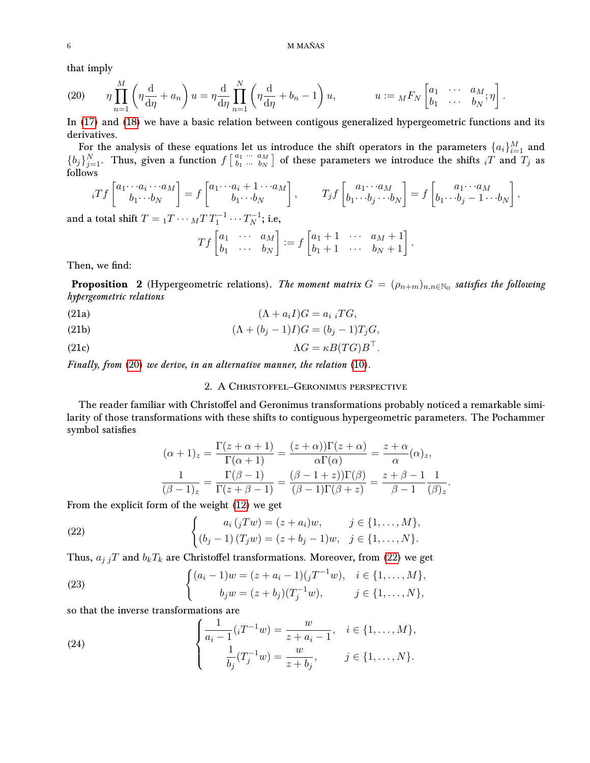that imply

<span id="page-5-0"></span>(20) 
$$
\eta \prod_{n=1}^{M} \left( \eta \frac{d}{d\eta} + a_n \right) u = \eta \frac{d}{d\eta} \prod_{n=1}^{N} \left( \eta \frac{d}{d\eta} + b_n - 1 \right) u, \qquad u := {}_{M}F_{N} \begin{bmatrix} a_1 & \cdots & a_M \\ b_1 & \cdots & b_N \end{bmatrix}.
$$

In [\(17\)](#page-4-0) and [\(18\)](#page-4-1) we have a basic relation between contigous generalized hypergeometric functions and its derivatives.

For the analysis of these equations let us introduce the shift operators in the parameters  $\{a_i\}_{i=1}^M$  and  ${b_j}_{j=1}^N$ . Thus, given a function  $f\begin{bmatrix} a_1 & a_{M} \\ b_1 & \cdots & b_N \end{bmatrix}$  $\left[\begin{smallmatrix} a_1 & \cdots & a_M \ b_1 & \cdots & b_N \end{smallmatrix}\right]$  of these parameters we introduce the shifts  $_i T$  and  $\overline{T}_j$  as follows

$$
{}_iTf\begin{bmatrix} a_1 \cdots a_i \cdots a_M \\ b_1 \cdots b_N \end{bmatrix} = f\begin{bmatrix} a_1 \cdots a_i + 1 \cdots a_M \\ b_1 \cdots b_N \end{bmatrix}, \qquad T_jf\begin{bmatrix} a_1 \cdots a_M \\ b_1 \cdots b_j \cdots b_N \end{bmatrix} = f\begin{bmatrix} a_1 \cdots a_M \\ b_1 \cdots b_j - 1 \cdots b_N \end{bmatrix},
$$

and a total shift  $T = {}_1T \cdots {}_M T \, T_1^{-1} \cdots T_N^{-1}$  $\frac{N-1}{N}$ ; i.e,

<span id="page-5-3"></span>
$$
Tf\begin{bmatrix} a_1 & \cdots & a_M \\ b_1 & \cdots & b_N \end{bmatrix} := f\begin{bmatrix} a_1 + 1 & \cdots & a_M + 1 \\ b_1 + 1 & \cdots & b_N + 1 \end{bmatrix}
$$

.

Then, we find:

**Proposition** 2 (Hypergeometric relations). The moment matrix  $G = (\rho_{n+m})_{n,n \in \mathbb{N}_0}$  satisfies the following hypergeometric relations

<span id="page-5-4"></span>(21a) 
$$
(\Lambda + a_i I)G = a_i \, iTG,
$$

<span id="page-5-5"></span>(21b) 
$$
(\Lambda + (b_j - 1)I)G = (b_j - 1)T_jG,
$$

<span id="page-5-6"></span>(21c) 
$$
\Lambda G = \kappa B (T G) B^{\top}.
$$

Finally, from [\(20\)](#page-5-0) we derive, in an alternative manner, the relation [\(10\)](#page-3-1).

## 2. A Christoffel–Geronimus perspective

The reader familiar with Christoffel and Geronimus transformations probably noticed a remarkable similarity of those transformations with these shifts to contiguous hypergeometric parameters. The Pochammer symbol satisfies

$$
(\alpha + 1)_z = \frac{\Gamma(z + \alpha + 1)}{\Gamma(\alpha + 1)} = \frac{(z + \alpha)\Gamma(z + \alpha)}{\alpha\Gamma(\alpha)} = \frac{z + \alpha}{\alpha}(\alpha)_z,
$$

$$
\frac{1}{(\beta - 1)_z} = \frac{\Gamma(\beta - 1)}{\Gamma(z + \beta - 1)} = \frac{(\beta - 1 + z)\Gamma(\beta)}{(\beta - 1)\Gamma(\beta + z)} = \frac{z + \beta - 1}{\beta - 1} \frac{1}{(\beta)_z}.
$$

From the explicit form of the weight [\(12\)](#page-4-2) we get

<span id="page-5-1"></span>(22) 
$$
\begin{cases} a_i ({}_jTw) = (z + a_i)w, & j \in \{1, ..., M\}, \\ (b_j - 1) (T_jw) = (z + b_j - 1)w, & j \in \{1, ..., N\}. \end{cases}
$$

Thus,  $a_{j}$  jT and  $b_kT_k$  are Christoffel transformations. Moreover, from [\(22\)](#page-5-1) we get

<span id="page-5-2"></span>(23) 
$$
\begin{cases} (a_i - 1)w = (z + a_i - 1)(jT^{-1}w), & i \in \{1, ..., M\}, \\ b_j w = (z + b_j)(T_j^{-1}w), & j \in \{1, ..., N\}, \end{cases}
$$

so that the inverse transformations are

(24) 
$$
\begin{cases} \frac{1}{a_i - 1} (i T^{-1} w) = \frac{w}{z + a_i - 1}, & i \in \{1, ..., M\}, \\ \frac{1}{b_j} (T_j^{-1} w) = \frac{w}{z + b_j}, & j \in \{1, ..., N\}. \end{cases}
$$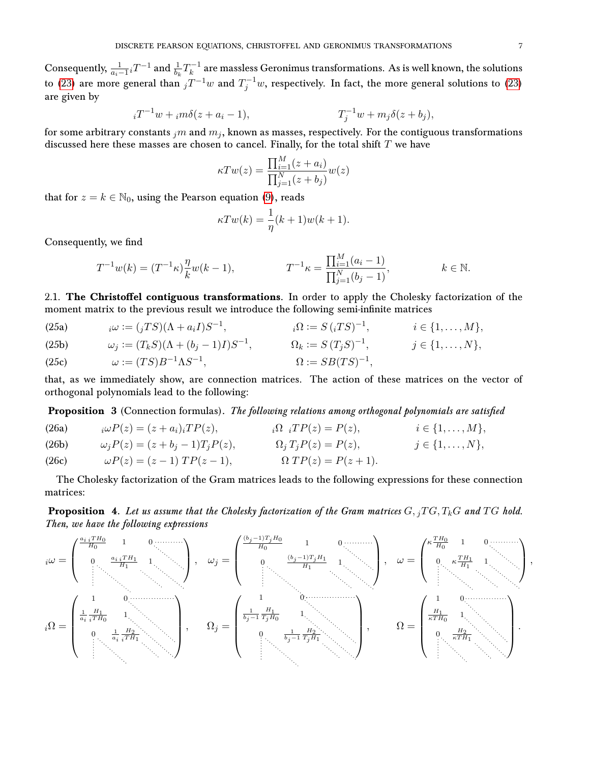Consequently,  $\frac{1}{a_i-1} \, _i T^{-1}$  and  $\frac{1}{b_k} T_k^{-1}$  $k_k^{-1}$  are massless Geronimus transformations. As is well known, the solutions to [\(23\)](#page-5-2) are more general than  $jT^{-1}w$  and  $T_j^{-1}w$ , respectively. In fact, the more general solutions to (23) are given by

$$
{}_{i}T^{-1}w + {}_{i}m\delta(z + a_{i} - 1), \qquad T_{j}^{-1}w + m_{j}\delta(z + b_{j}),
$$

for some arbitrary constants  $_{j}m$  and  $m_j$ , known as masses, respectively. For the contiguous transformations discussed here these masses are chosen to cancel. Finally, for the total shift  $T$  we have

$$
\kappa T w(z) = \frac{\prod_{i=1}^{M} (z + a_i)}{\prod_{j=1}^{N} (z + b_j)} w(z)
$$

that for  $z = k \in \mathbb{N}_0$ , using the Pearson equation [\(9\)](#page-3-0), reads

$$
\kappa T w(k) = \frac{1}{\eta}(k+1)w(k+1).
$$

Consequently, we find

$$
T^{-1}w(k) = (T^{-1}\kappa)\frac{\eta}{k}w(k-1), \qquad T^{-1}\kappa = \frac{\prod_{i=1}^{M}(a_i-1)}{\prod_{j=1}^{N}(b_j-1)}, \qquad k \in \mathbb{N}.
$$

2.1. The Christoffel contiguous transformations. In order to apply the Cholesky factorization of the moment matrix to the previous result we introduce the following semi-infinite matrices

| (25a) | $i\omega := (iTS)(\Lambda + a_iI)S^{-1},$          | $i\Omega := S (iTS)^{-1},$   | $i\in\{1,\ldots,M\},\$ |
|-------|----------------------------------------------------|------------------------------|------------------------|
| (25b) | $\omega_j := (T_k S)(\Lambda + (b_j - 1)I)S^{-1},$ | $\Omega_k := S(T_i S)^{-1},$ | $j\in\{1,\ldots,N\},\$ |
| (25c) | $\omega := (TS)B^{-1}\Lambda S^{-1},$              | $\Omega := SB(TS)^{-1},$     |                        |

that, as we immediately show, are connection matrices. The action of these matrices on the vector of orthogonal polynomials lead to the following:

<span id="page-6-0"></span>Proposition 3 (Connection formulas). The following relations among orthogonal polynomials are satisfied

(26a) 
$$
i\omega P(z) = (z + a_i)iTP(z), \qquad i\Omega \, iTP(z) = P(z), \qquad i \in \{1, ..., M\},
$$
  
\n(26b) 
$$
\omega_j P(z) = (z + b_j - 1)T_j P(z), \qquad \Omega_j T_j P(z) = P(z), \qquad j \in \{1, ..., N\},
$$
  
\n(26c) 
$$
\omega P(z) = (z - 1) TP(z - 1), \qquad \Omega T P(z) = P(z + 1).
$$

The Cholesky factorization of the Gram matrices leads to the following expressions for these connection matrices:

**Proposition 4.** Let us assume that the Cholesky factorization of the Gram matrices  $G, _iTG, T_kG$  and  $TG$  hold. Then, we have the following expressions

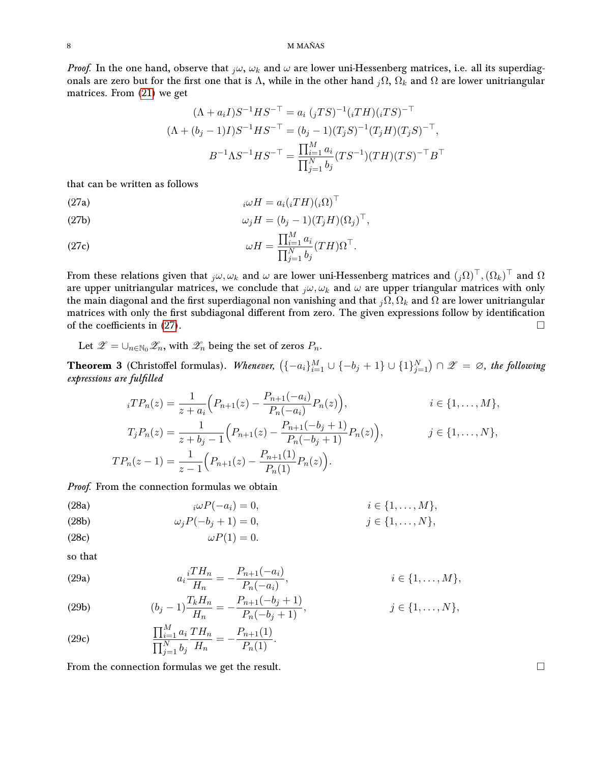#### 8 M MAÑAS

*Proof.* In the one hand, observe that  $_j\omega$ ,  $\omega_k$  and  $\omega$  are lower uni-Hessenberg matrices, i.e. all its superdiagonals are zero but for the first one that is Λ, while in the other hand  $_j\Omega$ ,  $\Omega_k$  and  $\Omega$  are lower unitriangular matrices. From [\(21\)](#page-5-3) we get

<span id="page-7-0"></span>
$$
(\Lambda + a_i I)S^{-1}HS^{-\top} = a_i (jTS)^{-1} (iTH)(iTS)^{-\top}
$$

$$
(\Lambda + (b_j - 1)I)S^{-1}HS^{-\top} = (b_j - 1)(T_jS)^{-1}(T_jH)(T_jS)^{-\top},
$$

$$
B^{-1}\Lambda S^{-1}HS^{-\top} = \frac{\prod_{i=1}^{M} a_i}{\prod_{j=1}^{N} b_j} (TS^{-1})(TH)(TS)^{-\top}B^{\top}
$$

that can be written as follows

(27a) 
$$
{}_{i}\omega H = a_{i}({}_{i}TH)({}_{i}\Omega)^{\top}
$$

(27b) 
$$
\omega_j H = (b_j - 1)(T_j H)(\Omega_j)^\top,
$$

(27c) 
$$
\omega H = \frac{\prod_{i=1}^{M} a_i}{\prod_{j=1}^{N} b_j} (TH) \Omega^{\top}.
$$

From these relations given that  ${}_j\omega,\omega_k$  and  $\omega$  are lower uni-Hessenberg matrices and  $(_j\Omega)^{\top},(\Omega_k)^{\top}$  and  $\Omega$ are upper unitriangular matrices, we conclude that  ${}_i\omega, \omega_k$  and  $\omega$  are upper triangular matrices with only the main diagonal and the first superdiagonal non vanishing and that  $j\Omega$ ,  $\Omega_k$  and  $\Omega$  are lower unitriangular matrices with only the first subdiagonal different from zero. The given expressions follow by identification of the coefficients in  $(27)$ .

Let  $\mathscr{Z} = \cup_{n \in \mathbb{N}_0} \mathscr{Z}_n$ , with  $\mathscr{Z}_n$  being the set of zeros  $P_n$ .

**Theorem 3** (Christoffel formulas). Whenever,  $(\{-a_i\}_{i=1}^M \cup \{-b_j+1\} \cup \{1\}_{j=1}^N) \cap \mathscr{Z} = \varnothing$ , the following expressions are fulfilled

$$
{}_{i}TP_{n}(z) = \frac{1}{z + a_{i}} \Big( P_{n+1}(z) - \frac{P_{n+1}(-a_{i})}{P_{n}(-a_{i})} P_{n}(z) \Big), \qquad i \in \{1, ..., M\},
$$

$$
T_{j}P_{n}(z) = \frac{1}{z + b_{j} - 1} \Big( P_{n+1}(z) - \frac{P_{n+1}(-b_{j} + 1)}{P_{n}(-b_{j} + 1)} P_{n}(z) \Big), \qquad j \in \{1, ..., N\},
$$

$$
TP_{n}(z - 1) = \frac{1}{z - 1} \Big( P_{n+1}(z) - \frac{P_{n+1}(1)}{P_{n}(1)} P_{n}(z) \Big).
$$

Proof. From the connection formulas we obtain

(28a) 
$$
i\omega P(-a_i) = 0, \qquad i \in \{1, \ldots, M\},
$$

(28b) 
$$
\omega_j P(-b_j + 1) = 0,
$$
  $j \in \{1, ..., N\},$ 

$$
\omega P(1) = 0.
$$

so that

(29a) 
$$
a_i \frac{iTH_n}{H_n} = -\frac{P_{n+1}(-a_i)}{P_n(-a_i)}, \qquad i \in \{1, ..., M\},\
$$

(29b) 
$$
(b_j - 1) \frac{T_k H_n}{H_n} = -\frac{P_{n+1}(-b_j + 1)}{P_n(-b_j + 1)}, \qquad j \in \{1, ..., N\},\
$$

(29c) 
$$
\frac{\prod_{i=1}^{M} a_i T H_n}{\prod_{j=1}^{N} b_j} = -\frac{P_{n+1}(1)}{P_n(1)}.
$$

From the connection formulas we get the result.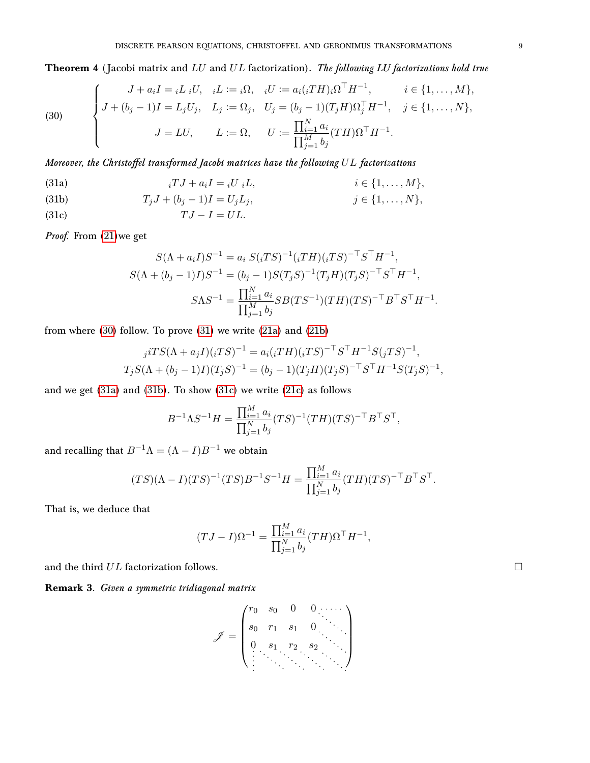# <span id="page-8-5"></span>**Theorem 4** (Jacobi matrix and  $LU$  and  $UL$  factorization). The following  $LU$  factorizations hold true

<span id="page-8-0"></span>(30) 
$$
\begin{cases}\nJ + a_i I = i L_i U, & iL := i\Omega, \quad iU := a_i (iTH)_i \Omega^\top H^{-1}, & i \in \{1, ..., M\}, \\
J + (b_j - 1)I = L_j U_j, & L_j := \Omega_j, \quad U_j = (b_j - 1)(T_j H) \Omega_j^\top H^{-1}, & j \in \{1, ..., N\}, \\
J = LU, & L := \Omega, \quad U := \frac{\prod_{i=1}^N a_i}{\prod_{j=1}^M b_j} (TH) \Omega^\top H^{-1}.\n\end{cases}
$$

Moreover, the Christoffel transformed Jacobi matrices have the following  $UL$  factorizations

<span id="page-8-2"></span>(31a) 
$$
{}_{i}TJ + a_{i}I = {}_{i}U {}_{i}L, \qquad i \in \{1, ..., M\},
$$

$$
(31b) \t\t T_iJ +
$$

<span id="page-8-3"></span>(31b) 
$$
T_j J + (b_j - 1)I = U_j L_j,
$$
  $j \in \{1, ..., N\},$ 

<span id="page-8-4"></span>(31c)  $TJ - I = UL.$ 

Proof. From [\(21\)](#page-5-3)we get

<span id="page-8-1"></span>
$$
S(\Lambda + a_i I)S^{-1} = a_i S(iTS)^{-1} (iTH)(iTS)^{-\top} S^{\top} H^{-1},
$$
  
\n
$$
S(\Lambda + (b_j - 1)I)S^{-1} = (b_j - 1)S(T_j S)^{-1} (T_j H)(T_j S)^{-\top} S^{\top} H^{-1},
$$
  
\n
$$
S\Lambda S^{-1} = \frac{\prod_{i=1}^{N} a_i}{\prod_{j=1}^{M} b_j} S B(TS^{-1})(TH)(TS)^{-\top} B^{\top} S^{\top} H^{-1}.
$$

from where [\(30\)](#page-8-0) follow. To prove [\(31\)](#page-8-1) we write [\(21a\)](#page-5-4) and [\(21b\)](#page-5-5)

$$
j^{i}TS(\Lambda + a_jI)(iTS)^{-1} = a_i(iTH)(iTS)^{-T}S^{T}H^{-1}S(jTS)^{-1},
$$
  
\n
$$
T_jS(\Lambda + (b_j - 1)I)(T_jS)^{-1} = (b_j - 1)(T_jH)(T_jS)^{-T}S^{T}H^{-1}S(T_jS)^{-1},
$$

and we get [\(31a\)](#page-8-2) and [\(31b\)](#page-8-3). To show [\(31c\)](#page-8-4) we write [\(21c\)](#page-5-6) as follows

$$
B^{-1} \Lambda S^{-1} H = \frac{\prod_{i=1}^{M} a_i}{\prod_{j=1}^{N} b_j} (TS)^{-1} (TH)(TS)^{-\top} B^{\top} S^{\top},
$$

and recalling that  $B^{-1}\Lambda = (\Lambda - I)B^{-1}$  we obtain

$$
(TS)(\Lambda - I)(TS)^{-1}(TS)B^{-1}S^{-1}H = \frac{\prod_{i=1}^{M} a_i}{\prod_{j=1}^{N} b_j}(TH)(TS)^{-\top}B^{\top}S^{\top}.
$$

That is, we deduce that

$$
(TJ - I)\Omega^{-1} = \frac{\prod_{i=1}^{M} a_i}{\prod_{j=1}^{N} b_j} (TH)\Omega^{\top} H^{-1},
$$

and the third  $UL$  factorization follows.

Remark 3. Given a symmetric tridiagonal matrix

$$
\mathscr{J} = \begin{pmatrix} r_0 & s_0 & 0 & 0 & \cdots \\ s_0 & r_1 & s_1 & 0 & \cdots \\ 0 & s_1 & r_2 & s_2 & \cdots \\ \vdots & \vdots & \vdots & \ddots & \vdots & \ddots \end{pmatrix}
$$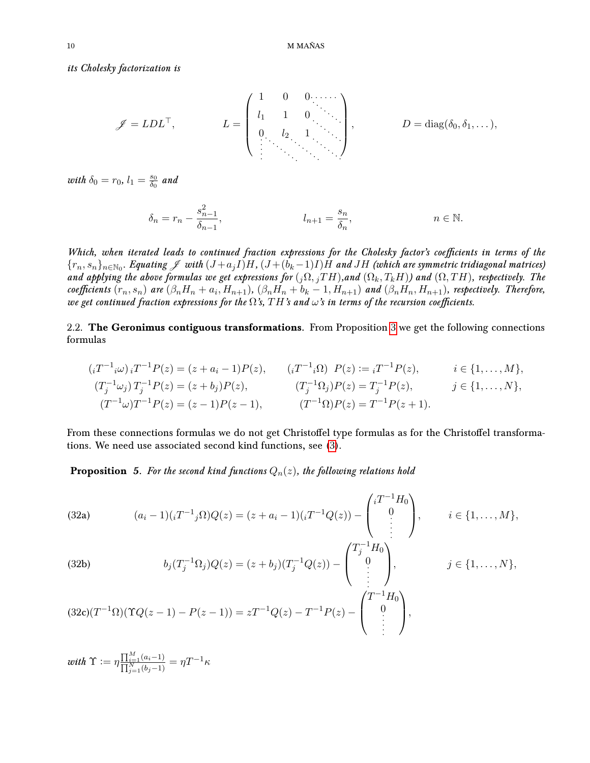its Cholesky factorization is

$$
\mathscr{J} = LDL^{\top}, \qquad L = \begin{pmatrix} 1 & 0 & 0 & \cdots \\ l_1 & 1 & 0 & \\ 0 & l_2 & 1 & \\ \vdots & \vdots & \ddots & \vdots \end{pmatrix}, \qquad D = \text{diag}(\delta_0, \delta_1, \ldots),
$$

with  $\delta_0 = r_0$ ,  $l_1 = \frac{s_0}{\delta_0}$  $\frac{s_0}{\delta_0}$  and

$$
\delta_n = r_n - \frac{s_{n-1}^2}{\delta_{n-1}}, \qquad l_{n+1} = \frac{s_n}{\delta_n}, \qquad n \in \mathbb{N}.
$$

Which, when iterated leads to continued fraction expressions for the Cholesky factor's coefficients in terms of the  $\{r_n,s_n\}_{n\in\mathbb{N}_0}$ . Equating  $\mathscr J$  with  $(J+a_jI)H$ ,  $(J+(b_k-1)I)H$  and  $JH$  (which are symmetric tridiagonal matrices) and applying the above formulas we get expressions for  $(j\Omega, jTH)$ , and  $(\Omega_k, T_kH)$ ) and  $(\Omega, TH)$ , respectively. The coefficients  $(r_n, s_n)$  are  $(\beta_n H_n + a_i, H_{n+1})$ ,  $(\beta_n H_n + b_k - 1, H_{n+1})$  and  $(\beta_n H_n, H_{n+1})$ , respectively. Therefore, we get continued fraction expressions for the  $\Omega$ 's,  $TH$ 's and  $\omega$ 's in terms of the recursion coefficients.

2.2. The Geronimus contiguous transformations. From Proposition [3](#page-6-0) we get the following connections formulas

$$
(i^{T-1}i\omega) i^{T-1} P(z) = (z + a_i - 1)P(z), \qquad (i^{T-1}i\Omega) P(z) := i^{T-1} P(z), \qquad i \in \{1, ..., M\},
$$
  
\n
$$
(T_j^{-1}\omega_j) T_j^{-1} P(z) = (z + b_j)P(z), \qquad (T_j^{-1}\Omega_j) P(z) = T_j^{-1} P(z), \qquad j \in \{1, ..., N\},
$$
  
\n
$$
(T^{-1}\omega) T^{-1} P(z) = (z - 1)P(z - 1), \qquad (T^{-1}\Omega) P(z) = T^{-1} P(z + 1).
$$

From these connections formulas we do not get Christoffel type formulas as for the Christoffel transformations. We need use associated second kind functions, see [\(3\)](#page-1-1).

**Proposition** 5. For the second kind functions  $Q_n(z)$ , the following relations hold

<span id="page-9-0"></span>(32a) 
$$
(a_i - 1)(iT^{-1}i\Omega)Q(z) = (z + a_i - 1)(iT^{-1}Q(z)) - \begin{pmatrix} iT^{-1}H_0 \\ 0 \\ \vdots \end{pmatrix}, \quad i \in \{1, ..., M\},
$$

<span id="page-9-1"></span>(32b) 
$$
b_j(T_j^{-1}\Omega_j)Q(z) = (z+b_j)(T_j^{-1}Q(z)) - \begin{pmatrix} T_j^{-1}H_0 \\ 0 \\ \vdots \\ T_{j-1}H_j \end{pmatrix}, \qquad j \in \{1, ..., N\},
$$

<span id="page-9-2"></span>
$$
(32c)(T^{-1}\Omega)(\Upsilon Q(z-1) - P(z-1)) = zT^{-1}Q(z) - T^{-1}P(z) - \begin{pmatrix} T^{-1}H_0 \\ 0 \\ \vdots \end{pmatrix},
$$

with 
$$
\Upsilon := \eta \frac{\prod_{i=1}^M (a_i - 1)}{\prod_{j=1}^N (b_j - 1)} = \eta T^{-1} \kappa
$$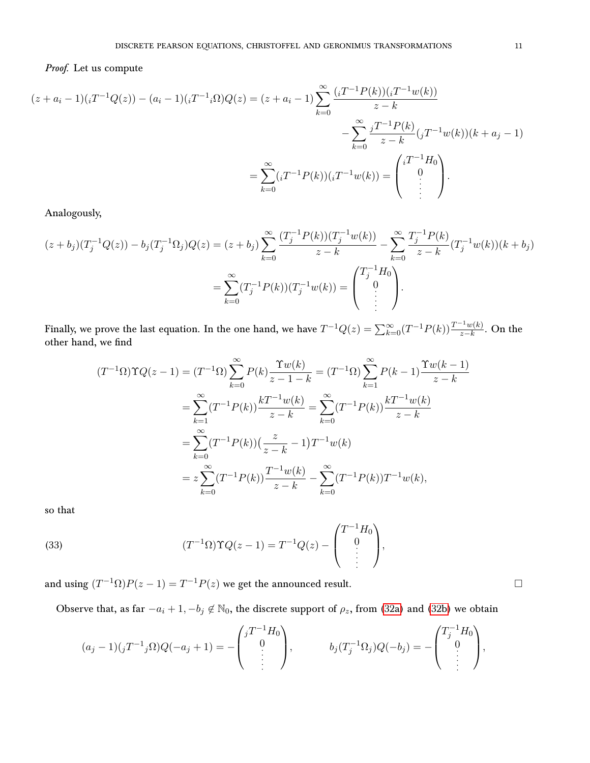## Proof. Let us compute

$$
(z + a_i - 1)(iT^{-1}Q(z)) - (a_i - 1)(iT^{-1}i\Omega)Q(z) = (z + a_i - 1)\sum_{k=0}^{\infty} \frac{(iT^{-1}P(k))(iT^{-1}w(k))}{z - k}
$$

$$
- \sum_{k=0}^{\infty} \frac{iT^{-1}P(k)}{z - k}(iT^{-1}w(k))(k + a_j - 1)
$$

$$
= \sum_{k=0}^{\infty} (iT^{-1}P(k))(iT^{-1}w(k)) = \begin{pmatrix} iT^{-1}H_0\\0\\ \vdots \end{pmatrix}.
$$

Analogously,

$$
(z+b_j)(T_j^{-1}Q(z)) - b_j(T_j^{-1}\Omega_j)Q(z) = (z+b_j)\sum_{k=0}^{\infty} \frac{(T_j^{-1}P(k))(T_j^{-1}w(k))}{z-k} - \sum_{k=0}^{\infty} \frac{T_j^{-1}P(k)}{z-k}(T_j^{-1}w(k))(k+b_j)
$$

$$
= \sum_{k=0}^{\infty} (T_j^{-1}P(k))(T_j^{-1}w(k)) = \begin{pmatrix} T_j^{-1}H_0 \\ 0 \\ \vdots \end{pmatrix}.
$$

Finally, we prove the last equation. In the one hand, we have  $T^{-1}Q(z)=\sum_{k=0}^{\infty}(T^{-1}P(k))\frac{T^{-1}w(k)}{z-k}.$  On the other hand, we find

$$
(T^{-1}\Omega)\Upsilon Q(z-1) = (T^{-1}\Omega)\sum_{k=0}^{\infty} P(k)\frac{\Upsilon w(k)}{z-1-k} = (T^{-1}\Omega)\sum_{k=1}^{\infty} P(k-1)\frac{\Upsilon w(k-1)}{z-k}
$$

$$
= \sum_{k=1}^{\infty} (T^{-1}P(k))\frac{kT^{-1}w(k)}{z-k} = \sum_{k=0}^{\infty} (T^{-1}P(k))\frac{kT^{-1}w(k)}{z-k}
$$

$$
= \sum_{k=0}^{\infty} (T^{-1}P(k))\left(\frac{z}{z-k} - 1\right)T^{-1}w(k)
$$

$$
= z\sum_{k=0}^{\infty} (T^{-1}P(k))\frac{T^{-1}w(k)}{z-k} - \sum_{k=0}^{\infty} (T^{-1}P(k))T^{-1}w(k),
$$

so that

<span id="page-10-0"></span>(33) 
$$
(T^{-1}\Omega)\Upsilon Q(z-1) = T^{-1}Q(z) - \begin{pmatrix} T^{-1}H_0 \\ 0 \\ \vdots \\ 0 \end{pmatrix},
$$

and using  $(T^{-1}\Omega)P(z-1) = T^{-1}P(z)$  we get the announced result.

Observe that, as far  $-a_i + 1, -b_j \notin \mathbb{N}_0$ , the discrete support of  $\rho_z$ , from [\(32a\)](#page-9-0) and [\(32b\)](#page-9-1) we obtain

$$
(a_j - 1)(jT^{-1}j\Omega)Q(-a_j + 1) = -\begin{pmatrix} jT^{-1}H_0 \ 0 \ \vdots \end{pmatrix}, \qquad b_j(T_j^{-1}\Omega_j)Q(-b_j) = -\begin{pmatrix} T_j^{-1}H_0 \ 0 \ \vdots \end{pmatrix},
$$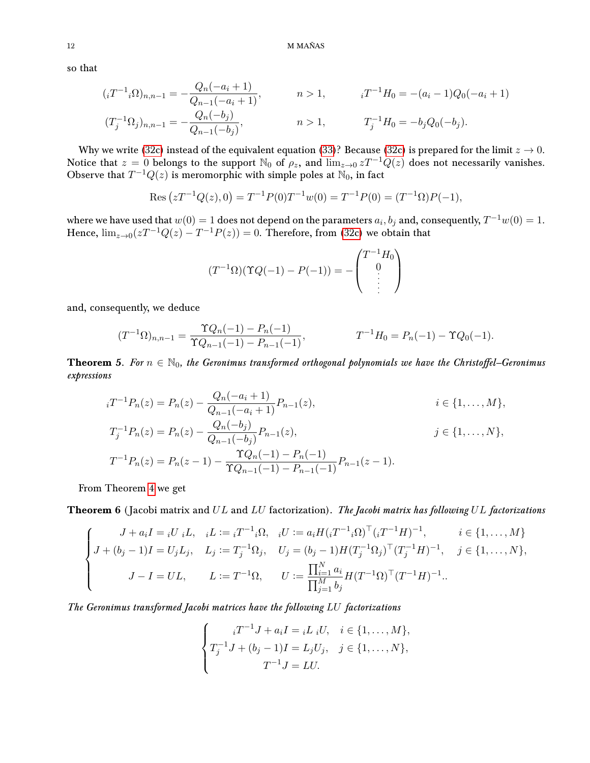so that

$$
(i T^{-1} i \Omega)_{n,n-1} = -\frac{Q_n(-a_i + 1)}{Q_{n-1}(-a_i + 1)}, \qquad n > 1, \qquad i T^{-1} H_0 = -(a_i - 1)Q_0(-a_i + 1)
$$

$$
(T_j^{-1} \Omega_j)_{n,n-1} = -\frac{Q_n(-b_j)}{Q_{n-1}(-b_j)}, \qquad n > 1, \qquad T_j^{-1} H_0 = -b_j Q_0(-b_j).
$$

Why we write [\(32c\)](#page-9-2) instead of the equivalent equation [\(33\)](#page-10-0)? Because (32c) is prepared for the limit  $z \to 0$ . Notice that  $z = 0$  belongs to the support  $\mathbb{N}_0$  of  $\rho_z$ , and  $\lim_{z\to 0} zT^{-1}Q(z)$  does not necessarily vanishes. Observe that  $T^{-1}Q(z)$  is meromorphic with simple poles at  $\mathbb{N}_0$ , in fact

Res 
$$
(zT^{-1}Q(z), 0) = T^{-1}P(0)T^{-1}w(0) = T^{-1}P(0) = (T^{-1}\Omega)P(-1),
$$

where we have used that  $w(0) = 1$  does not depend on the parameters  $a_i, b_j$  and, consequently,  $T^{-1} w(0) = 1$ . Hence,  $\lim_{z\to 0} (zT^{-1}Q(z) - T^{-1}P(z)) = 0$ . Therefore, from [\(32c\)](#page-9-2) we obtain that

$$
(T^{-1}\Omega)(\Upsilon Q(-1) - P(-1)) = -\begin{pmatrix} T^{-1}H_0 \\ 0 \\ \vdots \\ 0 \end{pmatrix}
$$

and, consequently, we deduce

$$
(T^{-1}\Omega)_{n,n-1} = \frac{\Upsilon Q_n(-1) - P_n(-1)}{\Upsilon Q_{n-1}(-1) - P_{n-1}(-1)}, \qquad T^{-1}H_0 = P_n(-1) - \Upsilon Q_0(-1).
$$

**Theorem** 5. For  $n \in \mathbb{N}_0$ , the Geronimus transformed orthogonal polynomials we have the Christoffel–Geronimus expressions

$$
{}_{i}T^{-1}P_{n}(z) = P_{n}(z) - \frac{Q_{n}(-a_{i}+1)}{Q_{n-1}(-a_{i}+1)}P_{n-1}(z), \qquad i \in \{1, ..., M\},
$$
  
\n
$$
T_{j}^{-1}P_{n}(z) = P_{n}(z) - \frac{Q_{n}(-b_{j})}{Q_{n-1}(-b_{j})}P_{n-1}(z), \qquad j \in \{1, ..., N\},
$$
  
\n
$$
T^{-1}P_{n}(z) = P_{n}(z-1) - \frac{\Upsilon Q_{n}(-1) - P_{n}(-1)}{\Upsilon Q_{n-1}(-1) - P_{n-1}(-1)}P_{n-1}(z-1).
$$

From Theorem [4](#page-8-5) we get

**Theorem 6** (Jacobi matrix and  $UL$  and  $LU$  factorization). The Jacobi matrix has following  $UL$  factorizations

$$
\begin{cases}\nJ + a_i I = iU_i L, & iL := iT^{-1} i\Omega, \quad iU := a_i H (i T^{-1} i\Omega)^\top (i T^{-1} H)^{-1}, \quad i \in \{1, ..., M\} \\
J + (b_j - 1)I = U_j L_j, & L_j := T_j^{-1} \Omega_j, \quad U_j = (b_j - 1) H (T_j^{-1} \Omega_j)^\top (T_j^{-1} H)^{-1}, \quad j \in \{1, ..., N\}, \\
J - I = UL, & L := T^{-1} \Omega, \quad U := \frac{\prod_{i=1}^N a_i}{\prod_{j=1}^M b_j} H (T^{-1} \Omega)^\top (T^{-1} H)^{-1}.\n\end{cases}
$$

The Geronimus transformed Jacobi matrices have the following LU factorizations

$$
\begin{cases}\ni T^{-1}J + a_i I = iL_i U, & i \in \{1, ..., M\}, \\
T_j^{-1}J + (b_j - 1)I = L_j U_j, & j \in \{1, ..., N\}, \\
T^{-1}J = LU.\n\end{cases}
$$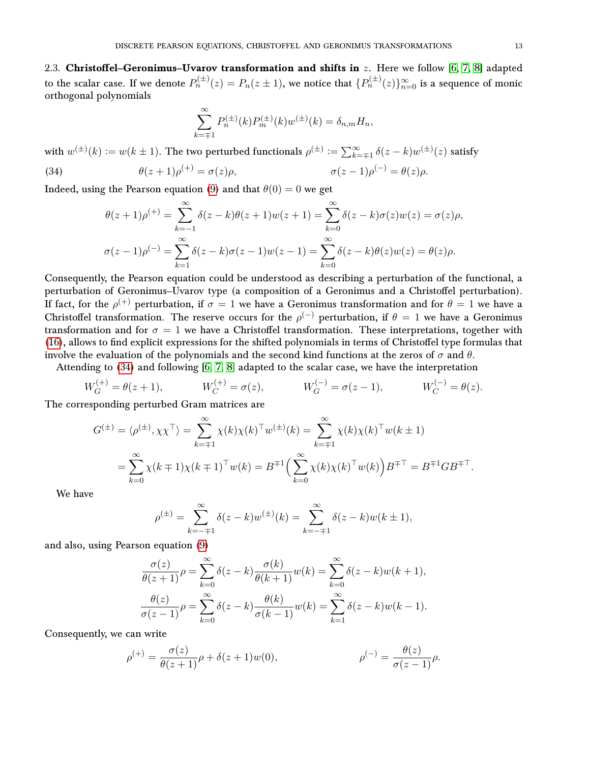2.3. Christoffel-Geronimus-Uvarov transformation and shifts in  $z$ . Here we follow [\[6,](#page-16-8) [7,](#page-16-9) [8\]](#page-16-10) adapted to the scalar case. If we denote  $P_n^{(\pm)}(z)=P_n(z\pm 1),$  we notice that  $\{P_n^{(\pm)}(z)\}_{n=0}^\infty$  is a sequence of monic orthogonal polynomials

$$
\sum_{k=\mp 1}^{\infty} P_n^{(\pm)}(k) P_m^{(\pm)}(k) w^{(\pm)}(k) = \delta_{n,m} H_n,
$$

with  $w^{(\pm)}(k)\vcentcolon= w(k\pm 1).$  The two perturbed functionals  $\rho^{(\pm)}\vcentcolon= \sum_{k=\mp 1}^\infty \delta(z-k)w^{(\pm)}(z)$  satisfy  $(0) = \theta(z)\rho.$ 

<span id="page-12-0"></span>(34) 
$$
\theta(z+1)\rho^{(+)} = \sigma(z)\rho, \qquad \sigma(z-1)\rho^{(-)} = \theta(z)\rho.
$$

Indeed, using the Pearson equation [\(9\)](#page-3-0) and that  $\theta(0) = 0$  we get

$$
\theta(z+1)\rho^{(+)} = \sum_{k=-1}^{\infty} \delta(z-k)\theta(z+1)w(z+1) = \sum_{k=0}^{\infty} \delta(z-k)\sigma(z)w(z) = \sigma(z)\rho,
$$
  

$$
\sigma(z-1)\rho^{(-)} = \sum_{k=1}^{\infty} \delta(z-k)\sigma(z-1)w(z-1) = \sum_{k=0}^{\infty} \delta(z-k)\theta(z)w(z) = \theta(z)\rho.
$$

Consequently, the Pearson equation could be understood as describing a perturbation of the functional, a perturbation of Geronimus-Uvarov type (a composition of a Geronimus and a Christoffel perturbation). If fact, for the  $\rho^{(+)}$  perturbation, if  $\sigma=1$  we have a Geronimus transformation and for  $\theta=1$  we have a Christoffel transformation. The reserve occurs for the  $\rho^{(-)}$  perturbation, if  $\theta = 1$  we have a Geronimus transformation and for  $\sigma = 1$  we have a Christoffel transformation. These interpretations, together with [\(16\)](#page-4-3), allows to find explicit expressions for the shifted polynomials in terms of Christoffel type formulas that involve the evaluation of the polynomials and the second kind functions at the zeros of  $\sigma$  and  $\theta$ .

Attending to [\(34\)](#page-12-0) and following [\[6,](#page-16-8) [7,](#page-16-9) [8\]](#page-16-10) adapted to the scalar case, we have the interpretation

$$
W_G^{(+)} = \theta(z+1), \qquad W_C^{(+)} = \sigma(z), \qquad W_G^{(-)} = \sigma(z-1), \qquad W_C^{(-)} = \theta(z).
$$

The corresponding perturbed Gram matrices are

$$
G^{(\pm)} = \langle \rho^{(\pm)}, \chi \chi^{\top} \rangle = \sum_{k=\mp 1}^{\infty} \chi(k) \chi(k)^{\top} w^{(\pm)}(k) = \sum_{k=\mp 1}^{\infty} \chi(k) \chi(k)^{\top} w(k \pm 1)
$$
  
= 
$$
\sum_{k=0}^{\infty} \chi(k \mp 1) \chi(k \mp 1)^{\top} w(k) = B^{\mp 1} \Big( \sum_{k=0}^{\infty} \chi(k) \chi(k)^{\top} w(k) \Big) B^{\mp \top} = B^{\mp 1} G B^{\mp \top}.
$$

We have

$$
\rho^{(\pm)} = \sum_{k=-\mp 1}^{\infty} \delta(z-k) w^{(\pm)}(k) = \sum_{k=-\mp 1}^{\infty} \delta(z-k) w(k \pm 1),
$$

and also, using Pearson equation [\(9\)](#page-3-0)

$$
\frac{\sigma(z)}{\theta(z+1)}\rho = \sum_{k=0}^{\infty} \delta(z-k) \frac{\sigma(k)}{\theta(k+1)} w(k) = \sum_{k=0}^{\infty} \delta(z-k) w(k+1),
$$

$$
\frac{\theta(z)}{\sigma(z-1)}\rho = \sum_{k=0}^{\infty} \delta(z-k) \frac{\theta(k)}{\sigma(k-1)} w(k) = \sum_{k=1}^{\infty} \delta(z-k) w(k-1).
$$

Consequently, we can write

$$
\rho^{(+)} = \frac{\sigma(z)}{\theta(z+1)}\rho + \delta(z+1)w(0), \qquad \rho^{(-)} = \frac{\theta(z)}{\sigma(z-1)}\rho.
$$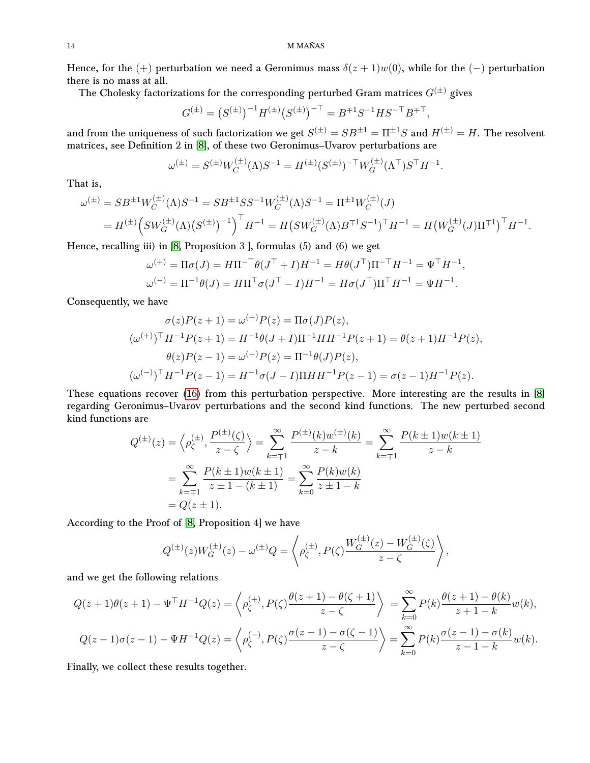Hence, for the (+) perturbation we need a Geronimus mass  $\delta(z+1)w(0)$ , while for the (-) perturbation there is no mass at all.

The Cholesky factorizations for the corresponding perturbed Gram matrices  $G^{(\pm)}$  gives

$$
G^{(\pm)} = \left(S^{(\pm)}\right)^{-1} H^{(\pm)} \left(S^{(\pm)}\right)^{-\top} = B^{\mp 1} S^{-1} H S^{-\top} B^{\mp \top},
$$

and from the uniqueness of such factorization we get  $S^{(\pm)}=SB^{\pm 1}=\Pi^{\pm 1}S$  and  $H^{(\pm)}=H.$  The resolvent matrices, see Definition 2 in [\[8\]](#page-16-10), of these two Geronimus–Uvarov perturbations are

$$
\omega^{(\pm)} = S^{(\pm)} W_C^{(\pm)}(\Lambda) S^{-1} = H^{(\pm)} (S^{(\pm)})^{-\top} W_G^{(\pm)}(\Lambda^{\top}) S^{\top} H^{-1}.
$$

That is,

$$
\omega^{(\pm)} = SB^{\pm 1} W_C^{(\pm)}(\Lambda) S^{-1} = SB^{\pm 1} SS^{-1} W_C^{(\pm)}(\Lambda) S^{-1} = \Pi^{\pm 1} W_C^{(\pm)}(J)
$$
  
=  $H^{(\pm)} \Big( SW_G^{(\pm)}(\Lambda) (S^{(\pm)})^{-1} \Big)^{\top} H^{-1} = H \big( SW_G^{(\pm)}(\Lambda) B^{\mp 1} S^{-1} \big)^{\top} H^{-1} = H \big( W_G^{(\pm)}(J) \Pi^{\mp 1} \big)^{\top} H^{-1}.$ 

Hence, recalling iii) in [\[8,](#page-16-10) Proposition 3 ], formulas (5) and (6) we get

$$
\omega^{(+)} = \Pi \sigma(J) = H \Pi^{-\top} \theta(J^{\top} + I) H^{-1} = H \theta(J^{\top}) \Pi^{-\top} H^{-1} = \Psi^{\top} H^{-1},
$$
  

$$
\omega^{(-)} = \Pi^{-1} \theta(J) = H \Pi^{\top} \sigma(J^{\top} - I) H^{-1} = H \sigma(J^{\top}) \Pi^{\top} H^{-1} = \Psi H^{-1}.
$$

Consequently, we have

$$
\sigma(z)P(z+1) = \omega^{(+)}P(z) = \Pi\sigma(J)P(z),
$$
  
\n
$$
(\omega^{(+)})^{\top}H^{-1}P(z+1) = H^{-1}\theta(J+I)\Pi^{-1}HH^{-1}P(z+1) = \theta(z+1)H^{-1}P(z),
$$
  
\n
$$
\theta(z)P(z-1) = \omega^{(-)}P(z) = \Pi^{-1}\theta(J)P(z),
$$
  
\n
$$
(\omega^{(-)})^{\top}H^{-1}P(z-1) = H^{-1}\sigma(J-I)\Pi HH^{-1}P(z-1) = \sigma(z-1)H^{-1}P(z).
$$

These equations recover [\(16\)](#page-4-3) from this perturbation perspective. More interesting are the results in [\[8\]](#page-16-10) regarding Geronimus–Uvarov perturbations and the second kind functions. The new perturbed second kind functions are

$$
Q^{(\pm)}(z) = \left\langle \rho_{\zeta}^{(\pm)}, \frac{P^{(\pm)}(\zeta)}{z - \zeta} \right\rangle = \sum_{k=\mp 1}^{\infty} \frac{P^{(\pm)}(k)w^{(\pm)}(k)}{z - k} = \sum_{k=\mp 1}^{\infty} \frac{P(k \pm 1)w(k \pm 1)}{z - k}
$$

$$
= \sum_{k=\mp 1}^{\infty} \frac{P(k \pm 1)w(k \pm 1)}{z \pm 1 - (k \pm 1)} = \sum_{k=0}^{\infty} \frac{P(k)w(k)}{z \pm 1 - k}
$$

$$
= Q(z \pm 1).
$$

According to the Proof of [\[8,](#page-16-10) Proposition 4] we have

$$
Q^{(\pm)}(z)W_G^{(\pm)}(z) - \omega^{(\pm)}Q = \left\langle \rho_{\zeta}^{(\pm)}, P(\zeta) \frac{W_G^{(\pm)}(z) - W_G^{(\pm)}(\zeta)}{z - \zeta} \right\rangle,
$$

and we get the following relations

$$
Q(z+1)\theta(z+1) - \Psi^{\top}H^{-1}Q(z) = \left\langle \rho_{\zeta}^{(+)}, P(\zeta) \frac{\theta(z+1) - \theta(\zeta+1)}{z-\zeta} \right\rangle = \sum_{k=0}^{\infty} P(k) \frac{\theta(z+1) - \theta(k)}{z+1-k} w(k),
$$
  

$$
Q(z-1)\sigma(z-1) - \Psi H^{-1}Q(z) = \left\langle \rho_{\zeta}^{(-)}, P(\zeta) \frac{\sigma(z-1) - \sigma(\zeta-1)}{z-\zeta} \right\rangle = \sum_{k=0}^{\infty} P(k) \frac{\sigma(z-1) - \sigma(k)}{z-1-k} w(k).
$$

Finally, we collect these results together.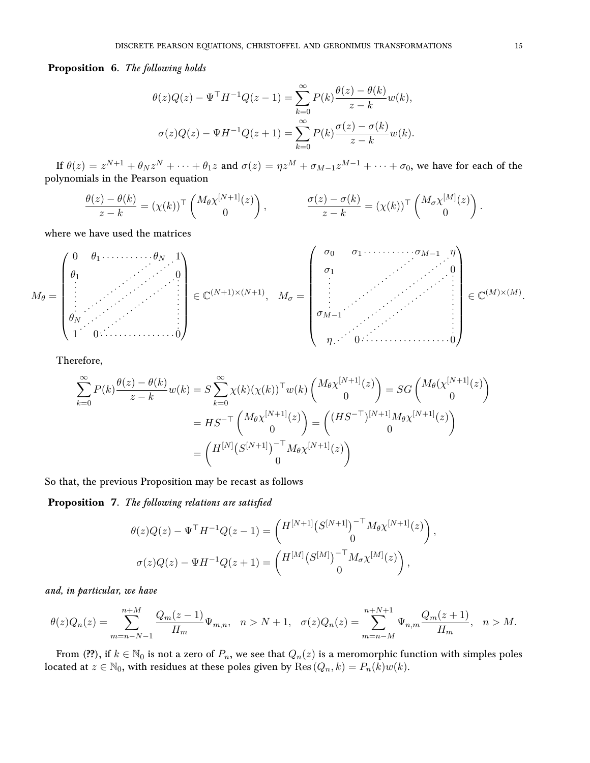Proposition 6. The following holds

$$
\theta(z)Q(z) - \Psi^{\top}H^{-1}Q(z-1) = \sum_{k=0}^{\infty} P(k) \frac{\theta(z) - \theta(k)}{z - k} w(k),
$$

$$
\sigma(z)Q(z) - \Psi H^{-1}Q(z+1) = \sum_{k=0}^{\infty} P(k) \frac{\sigma(z) - \sigma(k)}{z - k} w(k).
$$

If  $\theta(z) = z^{N+1} + \theta_N z^N + \cdots + \theta_1 z$  and  $\sigma(z) = \eta z^M + \sigma_{M-1} z^{M-1} + \cdots + \sigma_0$ , we have for each of the polynomials in the Pearson equation

$$
\frac{\theta(z) - \theta(k)}{z - k} = (\chi(k))^{\top} \begin{pmatrix} M_{\theta} \chi^{[N+1]}(z) \\ 0 \end{pmatrix}, \qquad \frac{\sigma(z) - \sigma(k)}{z - k} = (\chi(k))^{\top} \begin{pmatrix} M_{\sigma} \chi^{[M]}(z) \\ 0 \end{pmatrix}.
$$

where we have used the matrices

$$
M_{\theta} = \begin{pmatrix} 0 & \theta_1 & \cdots & \cdots & \theta_N & 1 \\ \theta_1 & & & & 0 \\ \vdots & & & & \vdots \\ \theta_N & & & & \vdots \\ 1 & 0 & \cdots & \cdots & \cdots & 0 \end{pmatrix} \in \mathbb{C}^{(N+1)\times(N+1)}, \quad M_{\sigma} = \begin{pmatrix} \sigma_0 & \sigma_1 & \cdots & \cdots & \cdots & \sigma_{M-1} & \eta \\ \sigma_1 & & & & & \vdots \\ \vdots & & & & & \vdots \\ \sigma_{M-1} & & & & & \vdots \\ \sigma_{M-1} & & & & & \vdots \\ \eta & & & & & \vdots \\ \end{pmatrix} \in \mathbb{C}^{(M)\times(M)}.
$$

Therefore,

$$
\sum_{k=0}^{\infty} P(k) \frac{\theta(z) - \theta(k)}{z - k} w(k) = S \sum_{k=0}^{\infty} \chi(k) (\chi(k))^\top w(k) \begin{pmatrix} M_{\theta} \chi^{[N+1]}(z) \\ 0 \end{pmatrix} = SG \begin{pmatrix} M_{\theta} (\chi^{[N+1]}(z) \\ 0 \end{pmatrix}
$$

$$
= HS^{-\top} \begin{pmatrix} M_{\theta} \chi^{[N+1]}(z) \\ 0 \end{pmatrix} = \begin{pmatrix} (HS^{-\top})^{[N+1]} M_{\theta} \chi^{[N+1]}(z) \\ 0 \end{pmatrix}
$$

$$
= \begin{pmatrix} H^{[N]} (S^{[N+1]})^{-\top} M_{\theta} \chi^{[N+1]}(z) \\ 0 \end{pmatrix}
$$

So that, the previous Proposition may be recast as follows

Proposition 7. The following relations are satisfied

$$
\theta(z)Q(z) - \Psi^{\top} H^{-1} Q(z-1) = \begin{pmatrix} H^{[N+1]} (S^{[N+1]})^{-\top} M_{\theta} \chi^{[N+1]}(z) \\ 0 \end{pmatrix},
$$

$$
\sigma(z)Q(z) - \Psi H^{-1} Q(z+1) = \begin{pmatrix} H^{[M]} (S^{[M]})^{-\top} M_{\sigma} \chi^{[M]}(z) \\ 0 \end{pmatrix},
$$

and, in particular, we have

$$
\theta(z)Q_n(z) = \sum_{m=n-N-1}^{n+M} \frac{Q_m(z-1)}{H_m} \Psi_{m,n}, \quad n > N+1, \quad \sigma(z)Q_n(z) = \sum_{m=n-M}^{n+N+1} \Psi_{n,m} \frac{Q_m(z+1)}{H_m}, \quad n > M.
$$

From (??), if  $k \in \mathbb{N}_0$  is not a zero of  $P_n$ , we see that  $Q_n(z)$  is a meromorphic function with simples poles located at  $z \in \mathbb{N}_0$ , with residues at these poles given by  $\text{Res}(Q_n, k) = P_n(k)w(k)$ .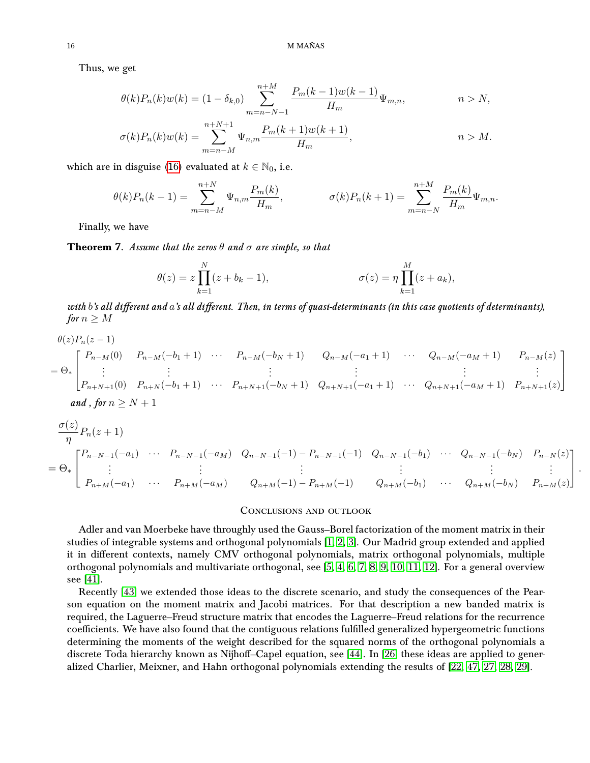Thus, we get

$$
\theta(k)P_n(k)w(k) = (1 - \delta_{k,0}) \sum_{m=n-N-1}^{n+M} \frac{P_m(k-1)w(k-1)}{H_m} \Psi_{m,n}, \qquad n > N,
$$
  

$$
\sigma(k)P_n(k)w(k) = \sum_{m=n-M}^{n+N+1} \Psi_{n,m} \frac{P_m(k+1)w(k+1)}{H_m}, \qquad n > M.
$$

which are in disguise [\(16\)](#page-4-3) evaluated at  $k \in \mathbb{N}_0$ , i.e.

$$
\theta(k)P_n(k-1) = \sum_{m=n-M}^{n+N} \Psi_{n,m} \frac{P_m(k)}{H_m}, \qquad \sigma(k)P_n(k+1) = \sum_{m=n-N}^{n+M} \frac{P_m(k)}{H_m} \Psi_{m,n}.
$$

Finally, we have

**Theorem 7.** Assume that the zeros  $\theta$  and  $\sigma$  are simple, so that

$$
\theta(z) = z \prod_{k=1}^{N} (z + b_k - 1), \qquad \sigma(z) = \eta \prod_{k=1}^{M} (z + a_k),
$$

with  $b$ 's all different and  $a$ 's all different. Then, in terms of quasi-determinants (in this case quotients of determinants), for  $n \geq M$ 

$$
\theta(z)P_n(z-1)
$$
\n
$$
= \Theta_* \begin{bmatrix} P_{n-M}(0) & P_{n-M}(-b_1+1) & \cdots & P_{n-M}(-b_N+1) & Q_{n-M}(-a_1+1) & \cdots & Q_{n-M}(-a_M+1) & P_{n-M}(z) \\ \vdots & \vdots & \ddots & \vdots & \vdots & \vdots \\ P_{n+N+1}(0) & P_{n+N}(-b_1+1) & \cdots & P_{n+N+1}(-b_N+1) & Q_{n+N+1}(-a_1+1) & \cdots & Q_{n+N+1}(-a_M+1) & P_{n+N+1}(z) \end{bmatrix}
$$
\nand, for  $n \geq N+1$ 

$$
\frac{\sigma(z)}{\eta}P_n(z+1)
$$
\n
$$
= \Theta_* \begin{bmatrix}\nP_{n-N-1}(-a_1) & \cdots & P_{n-N-1}(-a_M) & Q_{n-N-1}(-1) & P_{n-N-1}(-1) & Q_{n-N-1}(-b_1) & \cdots & Q_{n-N-1}(-b_N) & P_{n-N}(z) \\
\vdots & \vdots & \vdots & \vdots & \vdots & \vdots \\
P_{n+M}(-a_1) & \cdots & P_{n+M}(-a_M) & Q_{n+M}(-1) & P_{n+M}(-1) & Q_{n+M}(-b_1) & \cdots & Q_{n+M}(-b_N) & P_{n+M}(z)\n\end{bmatrix}.
$$

## Conclusions and outlook

Adler and van Moerbeke have throughly used the Gauss–Borel factorization of the moment matrix in their studies of integrable systems and orthogonal polynomials [\[1,](#page-16-12) [2,](#page-16-13) [3\]](#page-16-14). Our Madrid group extended and applied it in different contexts, namely CMV orthogonal polynomials, matrix orthogonal polynomials, multiple orthogonal polynomials and multivariate orthogonal, see [\[5,](#page-16-15) [4,](#page-16-16) [6,](#page-16-8) [7,](#page-16-9) [8,](#page-16-10) [9,](#page-16-17) [10,](#page-16-18) [11,](#page-16-19) [12\]](#page-16-20). For a general overview see [\[41\]](#page-17-23).

Recently [\[43\]](#page-17-9) we extended those ideas to the discrete scenario, and study the consequences of the Pearson equation on the moment matrix and Jacobi matrices. For that description a new banded matrix is required, the Laguerre–Freud structure matrix that encodes the Laguerre–Freud relations for the recurrence coefficients. We have also found that the contiguous relations fulfilled generalized hypergeometric functions determining the moments of the weight described for the squared norms of the orthogonal polynomials a discrete Toda hierarchy known as Nijhoff–Capel equation, see [\[44\]](#page-17-10). In [\[26\]](#page-17-12) these ideas are applied to generalized Charlier, Meixner, and Hahn orthogonal polynomials extending the results of [\[22,](#page-16-3) [47,](#page-17-8) [27,](#page-17-5) [28,](#page-17-6) [29\]](#page-17-7).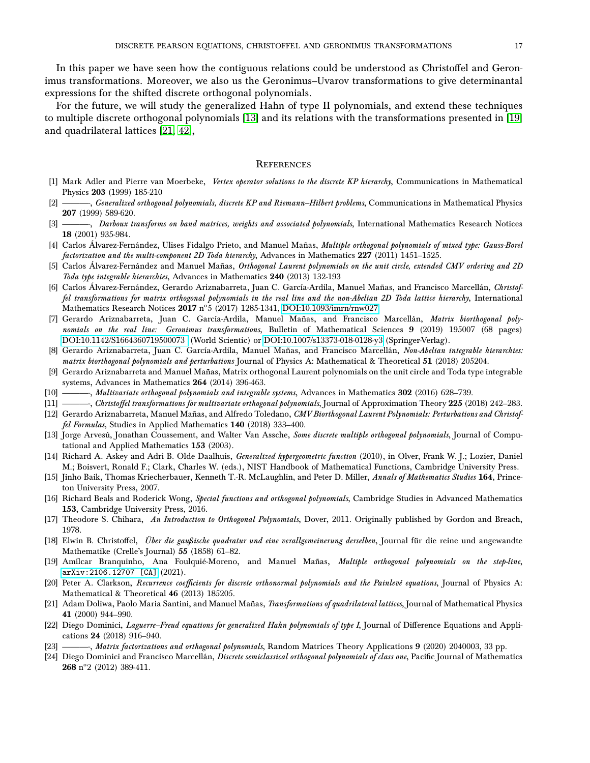In this paper we have seen how the contiguous relations could be understood as Christoffel and Geronimus transformations. Moreover, we also us the Geronimus–Uvarov transformations to give determinantal expressions for the shifted discrete orthogonal polynomials.

For the future, we will study the generalized Hahn of type II polynomials, and extend these techniques to multiple discrete orthogonal polynomials [\[13\]](#page-16-21) and its relations with the transformations presented in [\[19\]](#page-16-22) and quadrilateral lattices [\[21,](#page-16-23) [42\]](#page-17-24),

### **REFERENCES**

- <span id="page-16-12"></span>[1] Mark Adler and Pierre van Moerbeke, Vertex operator solutions to the discrete KP hierarchy, Communications in Mathematical Physics 203 (1999) 185-210
- <span id="page-16-13"></span>[2] ———, Generalized orthogonal polynomials, discrete KP and Riemann–Hilbert problems, Communications in Mathematical Physics 207 (1999) 589-620.
- <span id="page-16-14"></span>[3] ———, Darboux transforms on band matrices, weights and associated polynomials, International Mathematics Research Notices 18 (2001) 935-984.
- <span id="page-16-16"></span>[4] Carlos Álvarez-Fernández, Ulises Fidalgo Prieto, and Manuel Mañas, Multiple orthogonal polynomials of mixed type: Gauss-Borel factorization and the multi-component 2D Toda hierarchy, Advances in Mathematics 227 (2011) 1451–1525.
- <span id="page-16-15"></span>[5] Carlos Alvarez-Fernández and Manuel Mañas, Orthogonal Laurent polynomials on the unit circle, extended CMV ordering and 2D Toda type integrable hierarchies, Advances in Mathematics 240 (2013) 132-193
- <span id="page-16-8"></span>[6] Carlos Álvarez-Fernández, Gerardo Ariznabarreta, Juan C. García-Ardila, Manuel Mañas, and Francisco Marcellán, Christoffel transformations for matrix orthogonal polynomials in the real line and the non-Abelian 2D Toda lattice hierarchy, International  $\widetilde{M}$ athematics Research Notices  ${\bf 2017} \; \mathrm{n^o 5} \;(2017)$  1285-1341, [DOI:10.1093/imrn/rnw027.](https://doi.org/10.1093/imrn/rnw027)
- <span id="page-16-9"></span>[7] Gerardo Ariznabarreta, Juan C. García-Ardila, Manuel Mañas, and Francisco Marcellán, Matrix biorthogonal polynomials on the real line: Geronimus transformations, Bulletin of Mathematical Sciences 9 (2019) 195007 (68 pages) [DOI:10.1142/S1664360719500073](https://doi.org/10.1142/S1664360719500073) (World Scientic) or [DOI:10.1007/s13373-018-0128-y3](https://doi.org/10.1007/s13373-018-0128-y) (Springer-Verlag).
- <span id="page-16-10"></span>[8] Gerardo Ariznabarreta, Juan C. García-Ardila, Manuel Mañas, and Francisco Marcellán, Non-Abelian integrable hierarchies: matrix biorthogonal polynomials and perturbations Journal of Physics A: Mathematical & Theoretical 51 (2018) 205204.
- <span id="page-16-17"></span>[9] Gerardo Ariznabarreta and Manuel Mañas, Matrix orthogonal Laurent polynomials on the unit circle and Toda type integrable systems, Advances in Mathematics 264 (2014) 396-463.
- <span id="page-16-18"></span>[10] ——, Multivariate orthogonal polynomials and integrable systems, Advances in Mathematics 302 (2016) 628-739.
- <span id="page-16-19"></span>[11] ——, Christoffel transformations for multivariate orthogonal polynomials, Journal of Approximation Theory 225 (2018) 242–283.
- <span id="page-16-20"></span>[12] Gerardo Ariznabarreta, Manuel Mañas, and Alfredo Toledano, CMV Biorthogonal Laurent Polynomials: Perturbations and Christoffel Formulas, Studies in Applied Mathematics 140 (2018) 333–400.
- <span id="page-16-21"></span>[13] Jorge Arvesú, Jonathan Coussement, and Walter Van Assche, Some discrete multiple orthogonal polynomials, Journal of Computational and Applied Mathematics 153 (2003).
- <span id="page-16-11"></span>[14] Richard A. Askey and Adri B. Olde Daalhuis, Generalized hypergeometric function (2010), in Olver, Frank W. J.; Lozier, Daniel M.; Boisvert, Ronald F.; Clark, Charles W. (eds.), NIST Handbook of Mathematical Functions, Cambridge University Press.
- <span id="page-16-0"></span>[15] Jinho Baik, Thomas Kriecherbauer, Kenneth T.-R. McLaughlin, and Peter D. Miller, Annals of Mathematics Studies 164, Princeton University Press, 2007.
- <span id="page-16-1"></span>[16] Richard Beals and Roderick Wong, Special functions and orthogonal polynomials, Cambridge Studies in Advanced Mathematics 153, Cambridge University Press, 2016.
- <span id="page-16-7"></span>[17] Theodore S. Chihara, An Introduction to Orthogonal Polynomials, Dover, 2011. Originally published by Gordon and Breach, 1978.
- <span id="page-16-6"></span>[18] Elwin B. Christoffel, Über die gaußische quadratur und eine verallgemeinerung derselben, Journal für die reine und angewandte Mathematike (Crelle's Journal) 55 (1858) 61–82.
- <span id="page-16-22"></span>[19] Amílcar Branquinho, Ana Foulquié-Moreno, and Manuel Mañas, Multiple orthogonal polynomials on the step-line, [arXiv:2106.12707 \[CA\]](https://arxiv.org/abs/2106.12707) (2021).
- <span id="page-16-5"></span>[20] Peter A. Clarkson, Recurrence coefficients for discrete orthonormal polynomials and the Painlevé equations, Journal of Physics A: Mathematical & Theoretical 46 (2013) 185205.
- <span id="page-16-23"></span>[21] Adam Doliwa, Paolo Maria Santini, and Manuel Mañas, Transformations of quadrilateral lattices, Journal of Mathematical Physics 41 (2000) 944–990.
- <span id="page-16-3"></span>[22] Diego Dominici, Laguerre–Freud equations for generalized Hahn polynomials of type I, Journal of Difference Equations and Applications 24 (2018) 916–940.
- <span id="page-16-4"></span>[23] ——, Matrix factorizations and orthogonal polynomials, Random Matrices Theory Applications 9 (2020) 2040003, 33 pp.
- <span id="page-16-2"></span>[24] Diego Dominici and Francisco Marcellán, Discrete semiclassical orthogonal polynomials of class one, Pacific Journal of Mathematics  $268$  n°2 (2012) 389-411.